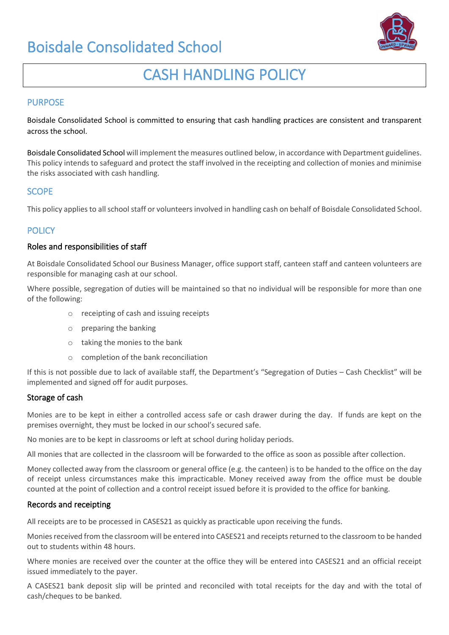# Boisdale Consolidated School



# CASH HANDLING POLICY

# PURPOSE

Boisdale Consolidated School is committed to ensuring that cash handling practices are consistent and transparent across the school.

Boisdale Consolidated School will implement the measures outlined below, in accordance with Department guidelines. This policy intends to safeguard and protect the staff involved in the receipting and collection of monies and minimise the risks associated with cash handling.

# SCOPE

This policy applies to all school staff or volunteers involved in handling cash on behalf of Boisdale Consolidated School.

# **POLICY**

## Roles and responsibilities of staff

At Boisdale Consolidated School our Business Manager, office support staff, canteen staff and canteen volunteers are responsible for managing cash at our school.

Where possible, segregation of duties will be maintained so that no individual will be responsible for more than one of the following:

- o receipting of cash and issuing receipts
- o preparing the banking
- o taking the monies to the bank
- o completion of the bank reconciliation

If this is not possible due to lack of available staff, the Department's "Segregation of Duties – Cash Checklist" will be implemented and signed off for audit purposes.

## Storage of cash

Monies are to be kept in either a controlled access safe or cash drawer during the day. If funds are kept on the premises overnight, they must be locked in our school's secured safe.

No monies are to be kept in classrooms or left at school during holiday periods.

All monies that are collected in the classroom will be forwarded to the office as soon as possible after collection.

Money collected away from the classroom or general office (e.g. the canteen) is to be handed to the office on the day of receipt unless circumstances make this impracticable. Money received away from the office must be double counted at the point of collection and a control receipt issued before it is provided to the office for banking.

## Records and receipting

All receipts are to be processed in CASES21 as quickly as practicable upon receiving the funds.

Monies received from the classroom will be entered into CASES21 and receipts returned to the classroom to be handed out to students within 48 hours.

Where monies are received over the counter at the office they will be entered into CASES21 and an official receipt issued immediately to the payer.

A CASES21 bank deposit slip will be printed and reconciled with total receipts for the day and with the total of cash/cheques to be banked.